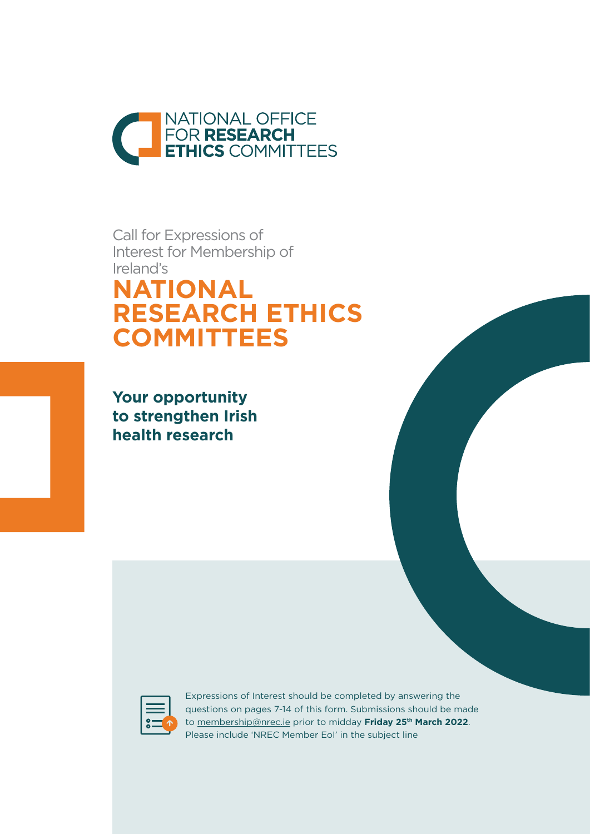

Call for Expressions of Interest for Membership of Ireland's **NATIONAL RESEARCH ETHICS COMMITTEES**

**Your opportunity to strengthen Irish health research**



Expressions of Interest should be completed by answering the questions on pages 7-14 of this form. Submissions should be made to [membership@nrec.ie](mailto:membership%40nrec.ie?subject=) prior to midday **Friday 25th March 2022**. Please include 'NREC Member EoI' in the subject line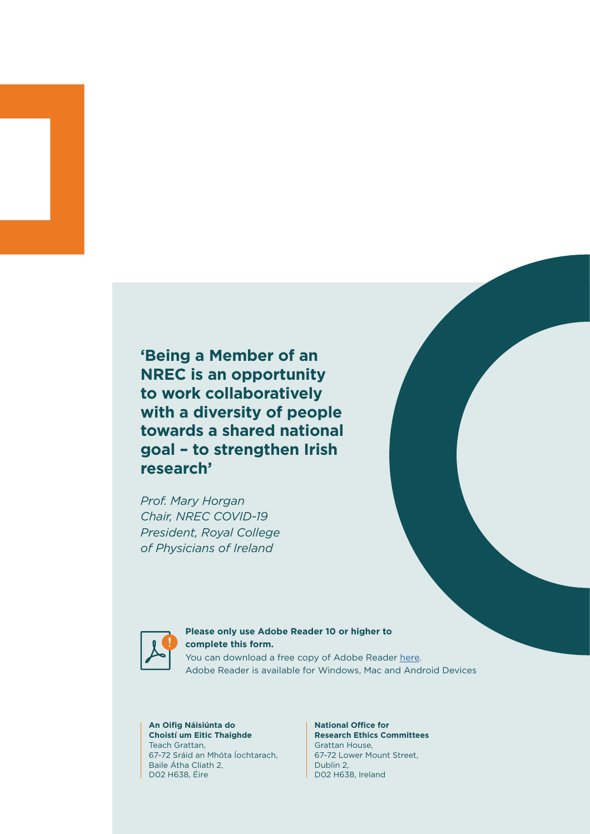**'Being a Member of an NREC is an opportunity to work collaboratively with a diversity of people towards a shared national goal – to strengthen Irish research'**

*Prof. Mary Horgan Chair, NREC COVID-19 President, Royal College of Physicians of Ireland*



# **Please only use Adobe Reader 10 or higher to complete this form.** You can download a free copy of Adobe Reader [here](https://get2.adobe.com/uk/reader/).

Adobe Reader is available for Windows, Mac and Android Devices

#### **An Oifig Náisiúnta do Choistí um Eitic Thaighde**  Teach Grattan, 67-72 Sráid an Mhóta Íochtarach, Baile Átha Cliath 2, D02 H638, Éire

#### **National Office for Research Ethics Committees**  Grattan House, 67-72 Lower Mount Street, Dublin 2, D02 H638, Ireland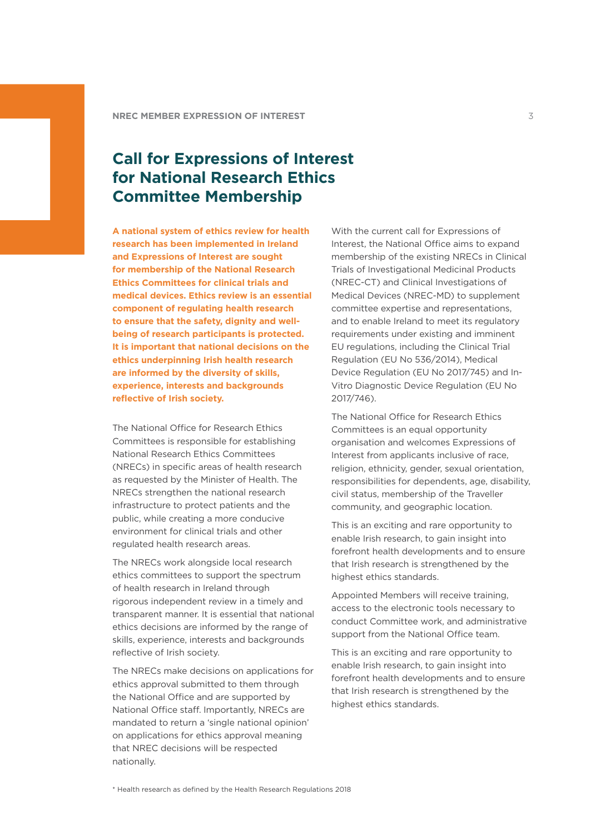# **Call for Expressions of Interest for National Research Ethics Committee Membership**

**A national system of ethics review for health research has been implemented in Ireland and Expressions of Interest are sought for membership of the National Research Ethics Committees for clinical trials and medical devices. Ethics review is an essential component of regulating health research to ensure that the safety, dignity and wellbeing of research participants is protected. It is important that national decisions on the ethics underpinning Irish health research are informed by the diversity of skills, experience, interests and backgrounds reflective of Irish society.**

The National Office for Research Ethics Committees is responsible for establishing National Research Ethics Committees (NRECs) in specific areas of health research as requested by the Minister of Health. The NRECs strengthen the national research infrastructure to protect patients and the public, while creating a more conducive environment for clinical trials and other regulated health research areas.

The NRECs work alongside local research ethics committees to support the spectrum of health research in Ireland through rigorous independent review in a timely and transparent manner. It is essential that national ethics decisions are informed by the range of skills, experience, interests and backgrounds reflective of Irish society.

The NRECs make decisions on applications for ethics approval submitted to them through the National Office and are supported by National Office staff. Importantly, NRECs are mandated to return a 'single national opinion' on applications for ethics approval meaning that NREC decisions will be respected nationally.

With the current call for Expressions of Interest, the National Office aims to expand membership of the existing NRECs in Clinical Trials of Investigational Medicinal Products (NREC-CT) and Clinical Investigations of Medical Devices (NREC-MD) to supplement committee expertise and representations, and to enable Ireland to meet its regulatory requirements under existing and imminent EU regulations, including the Clinical Trial Regulation (EU No 536/2014), Medical Device Regulation (EU No 2017/745) and In-Vitro Diagnostic Device Regulation (EU No 2017/746).

The National Office for Research Ethics Committees is an equal opportunity organisation and welcomes Expressions of Interest from applicants inclusive of race, religion, ethnicity, gender, sexual orientation, responsibilities for dependents, age, disability, civil status, membership of the Traveller community, and geographic location.

This is an exciting and rare opportunity to enable Irish research, to gain insight into forefront health developments and to ensure that Irish research is strengthened by the highest ethics standards.

Appointed Members will receive training, access to the electronic tools necessary to conduct Committee work, and administrative support from the National Office team.

This is an exciting and rare opportunity to enable Irish research, to gain insight into forefront health developments and to ensure that Irish research is strengthened by the highest ethics standards.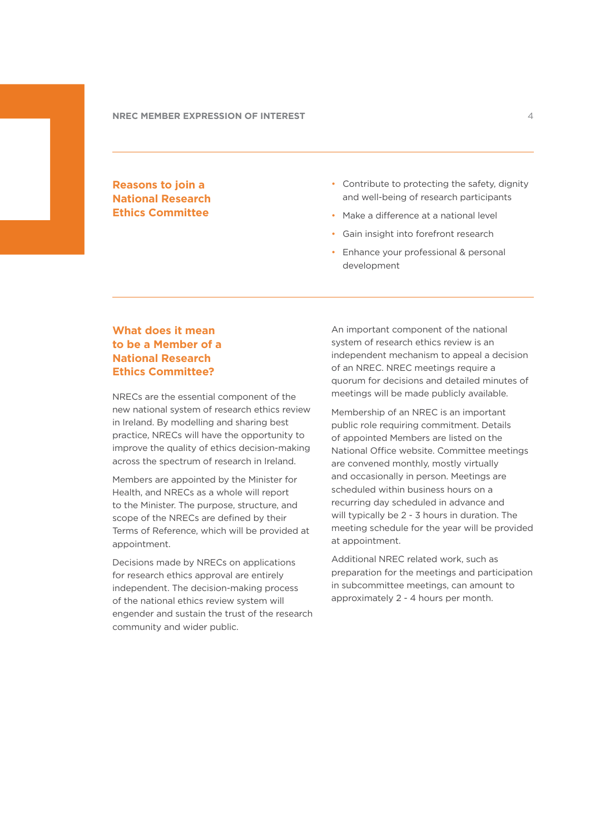# **Reasons to join a National Research Ethics Committee**

- Contribute to protecting the safety, dignity and well-being of research participants
- Make a difference at a national level
- Gain insight into forefront research
- Enhance your professional & personal development

# **What does it mean to be a Member of a National Research Ethics Committee?**

NRECs are the essential component of the new national system of research ethics review in Ireland. By modelling and sharing best practice, NRECs will have the opportunity to improve the quality of ethics decision-making across the spectrum of research in Ireland.

Members are appointed by the Minister for Health, and NRECs as a whole will report to the Minister. The purpose, structure, and scope of the NRECs are defined by their Terms of Reference, which will be provided at appointment.

Decisions made by NRECs on applications for research ethics approval are entirely independent. The decision-making process of the national ethics review system will engender and sustain the trust of the research community and wider public.

An important component of the national system of research ethics review is an independent mechanism to appeal a decision of an NREC. NREC meetings require a quorum for decisions and detailed minutes of meetings will be made publicly available.

Membership of an NREC is an important public role requiring commitment. Details of appointed Members are listed on the National Office website. Committee meetings are convened monthly, mostly virtually and occasionally in person. Meetings are scheduled within business hours on a recurring day scheduled in advance and will typically be 2 - 3 hours in duration. The meeting schedule for the year will be provided at appointment.

Additional NREC related work, such as preparation for the meetings and participation in subcommittee meetings, can amount to approximately 2 - 4 hours per month.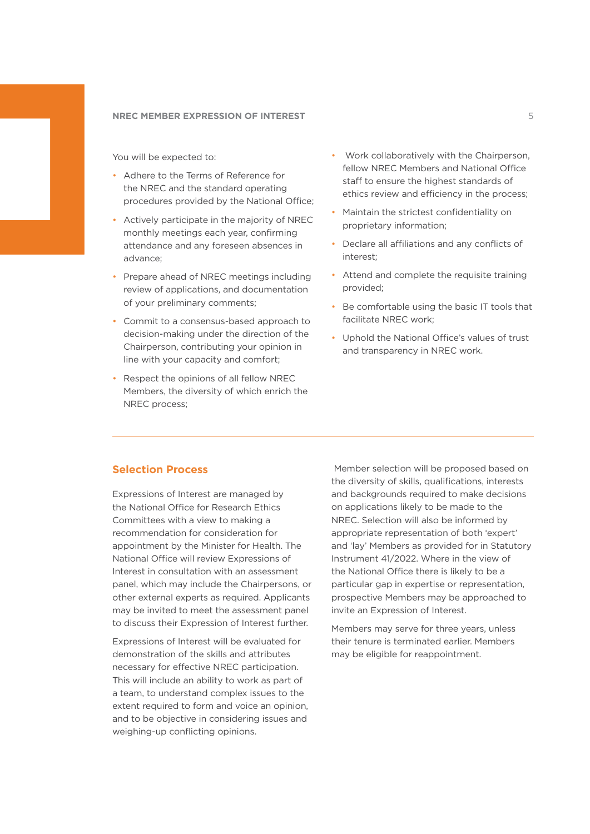You will be expected to:

- Adhere to the Terms of Reference for the NREC and the standard operating procedures provided by the National Office;
- Actively participate in the majority of NREC monthly meetings each year, confirming attendance and any foreseen absences in advance;
- Prepare ahead of NREC meetings including review of applications, and documentation of your preliminary comments;
- Commit to a consensus-based approach to decision-making under the direction of the Chairperson, contributing your opinion in line with your capacity and comfort;
- Respect the opinions of all fellow NREC Members, the diversity of which enrich the NREC process;
- Work collaboratively with the Chairperson, fellow NREC Members and National Office staff to ensure the highest standards of ethics review and efficiency in the process;
- Maintain the strictest confidentiality on proprietary information;
- Declare all affiliations and any conflicts of interest;
- Attend and complete the requisite training provided;
- Be comfortable using the basic IT tools that facilitate NREC work;
- Uphold the National Office's values of trust and transparency in NREC work.

### **Selection Process**

Expressions of Interest are managed by the National Office for Research Ethics Committees with a view to making a recommendation for consideration for appointment by the Minister for Health. The National Office will review Expressions of Interest in consultation with an assessment panel, which may include the Chairpersons, or other external experts as required. Applicants may be invited to meet the assessment panel to discuss their Expression of Interest further.

Expressions of Interest will be evaluated for demonstration of the skills and attributes necessary for effective NREC participation. This will include an ability to work as part of a team, to understand complex issues to the extent required to form and voice an opinion, and to be objective in considering issues and weighing-up conflicting opinions.

 Member selection will be proposed based on the diversity of skills, qualifications, interests and backgrounds required to make decisions on applications likely to be made to the NREC. Selection will also be informed by appropriate representation of both 'expert' and 'lay' Members as provided for in Statutory Instrument 41/2022. Where in the view of the National Office there is likely to be a particular gap in expertise or representation, prospective Members may be approached to invite an Expression of Interest.

Members may serve for three years, unless their tenure is terminated earlier. Members may be eligible for reappointment.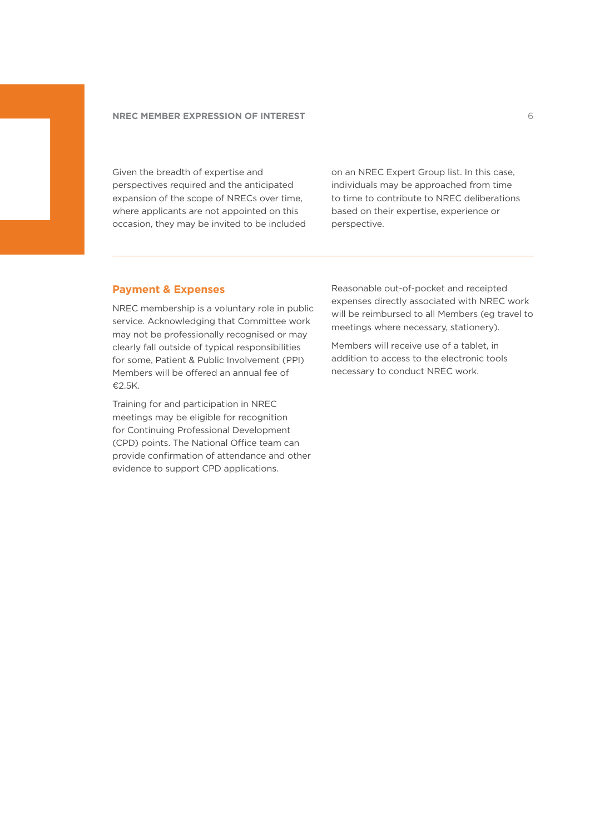Given the breadth of expertise and perspectives required and the anticipated expansion of the scope of NRECs over time, where applicants are not appointed on this occasion, they may be invited to be included on an NREC Expert Group list. In this case, individuals may be approached from time to time to contribute to NREC deliberations based on their expertise, experience or perspective.

# **Payment & Expenses**

NREC membership is a voluntary role in public service. Acknowledging that Committee work may not be professionally recognised or may clearly fall outside of typical responsibilities for some, Patient & Public Involvement (PPI) Members will be offered an annual fee of €2.5K.

Training for and participation in NREC meetings may be eligible for recognition for Continuing Professional Development (CPD) points. The National Office team can provide confirmation of attendance and other evidence to support CPD applications.

Reasonable out-of-pocket and receipted expenses directly associated with NREC work will be reimbursed to all Members (eg travel to meetings where necessary, stationery).

Members will receive use of a tablet, in addition to access to the electronic tools necessary to conduct NREC work.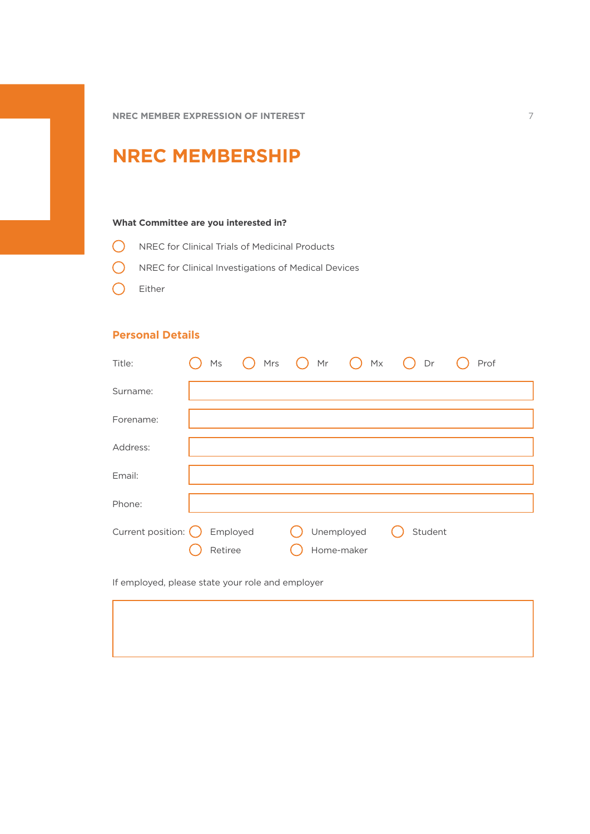# **NREC MEMBERSHIP**

### **What Committee are you interested in?**

- NREC for Clinical Trials of Medicinal Products
- **O** NREC for Clinical Investigations of Medical Devices
- C Either

# **Personal Details**

| Title:                       | Ms                  | $\bigcap$ Mrs $\bigcap$ Mr $\bigcap$ Mx $\bigcap$ Dr |         | Prof |
|------------------------------|---------------------|------------------------------------------------------|---------|------|
| Surname:                     |                     |                                                      |         |      |
| Forename:                    |                     |                                                      |         |      |
| Address:                     |                     |                                                      |         |      |
| Email:                       |                     |                                                      |         |      |
| Phone:                       |                     |                                                      |         |      |
| Current position: $\bigcirc$ | Employed<br>Retiree | Unemployed<br>Home-maker                             | Student |      |

If employed, please state your role and employer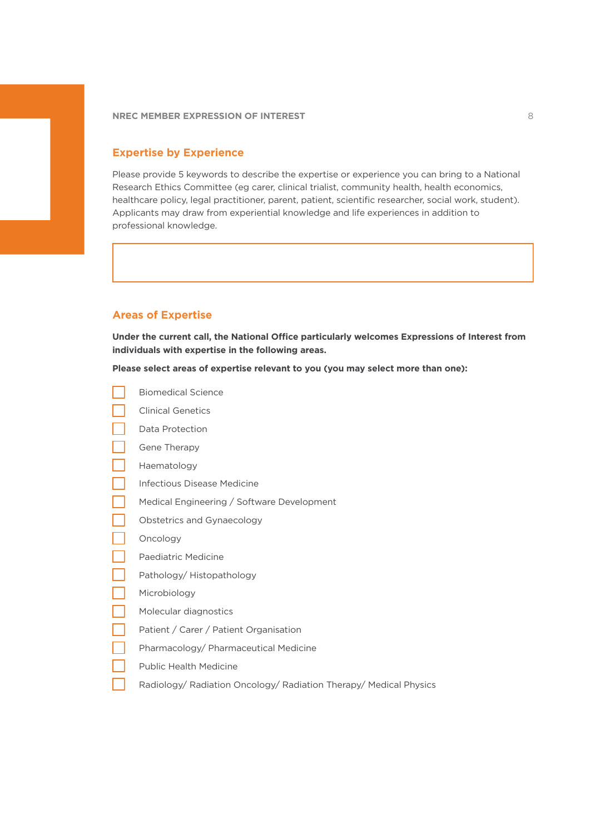## **Expertise by Experience**

Please provide 5 keywords to describe the expertise or experience you can bring to a National Research Ethics Committee (eg carer, clinical trialist, community health, health economics, healthcare policy, legal practitioner, parent, patient, scientific researcher, social work, student). Applicants may draw from experiential knowledge and life experiences in addition to professional knowledge.

# **Areas of Expertise**

**Under the current call, the National Office particularly welcomes Expressions of Interest from individuals with expertise in the following areas.**

**Please select areas of expertise relevant to you (you may select more than one):**

- Biomedical Science
- ┓ Clinical Genetics
- Data Protection
- Gene Therapy
- Haematology
- Infectious Disease Medicine
- Medical Engineering / Software Development
- Obstetrics and Gynaecology
- Oncology
- Paediatric Medicine
- Pathology/ Histopathology
- Microbiology
- Molecular diagnostics
- Patient / Carer / Patient Organisation
- Pharmacology/ Pharmaceutical Medicine
- Public Health Medicine
- Radiology/ Radiation Oncology/ Radiation Therapy/ Medical Physics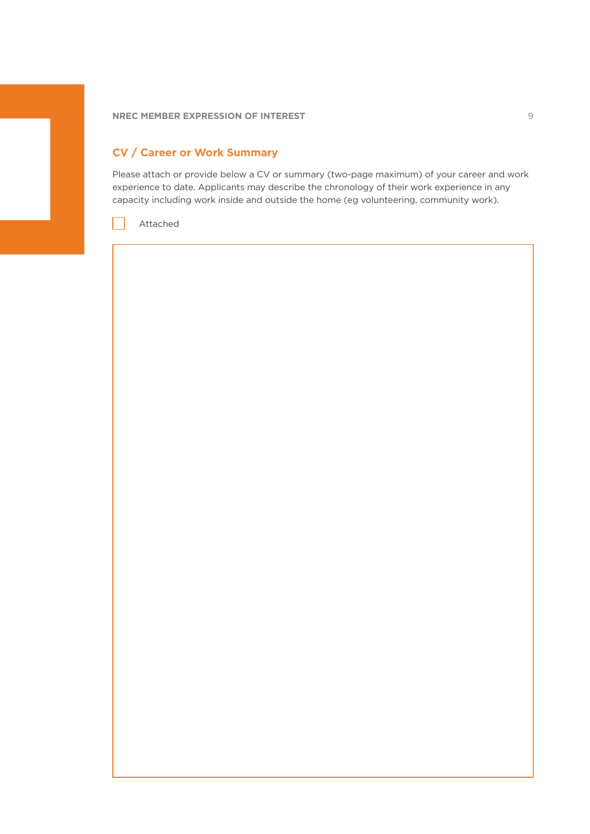# **CV / Career or Work Summary**

Please attach or provide below a CV or summary (two-page maximum) of your career and work experience to date. Applicants may describe the chronology of their work experience in any capacity including work inside and outside the home (eg volunteering, community work).

Attached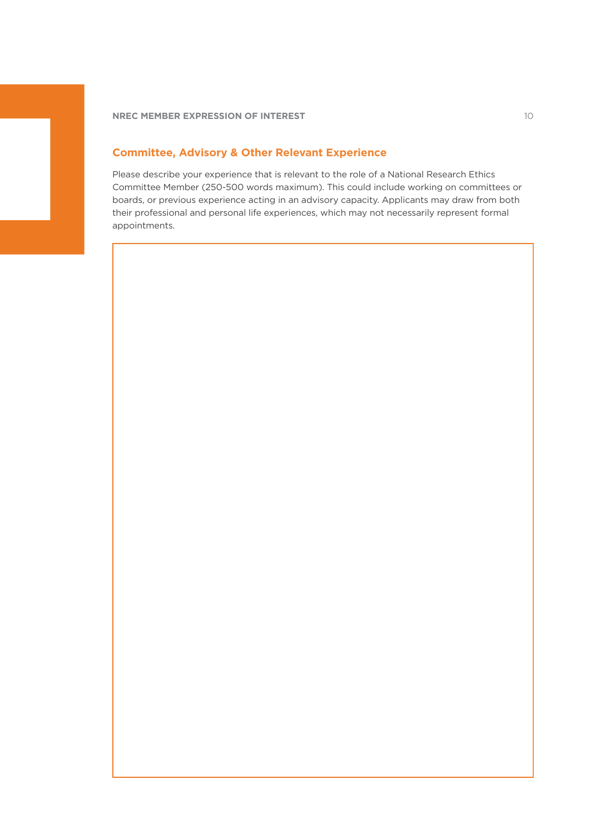# **Committee, Advisory & Other Relevant Experience**

Please describe your experience that is relevant to the role of a National Research Ethics Committee Member (250-500 words maximum). This could include working on committees or boards, or previous experience acting in an advisory capacity. Applicants may draw from both their professional and personal life experiences, which may not necessarily represent formal appointments.

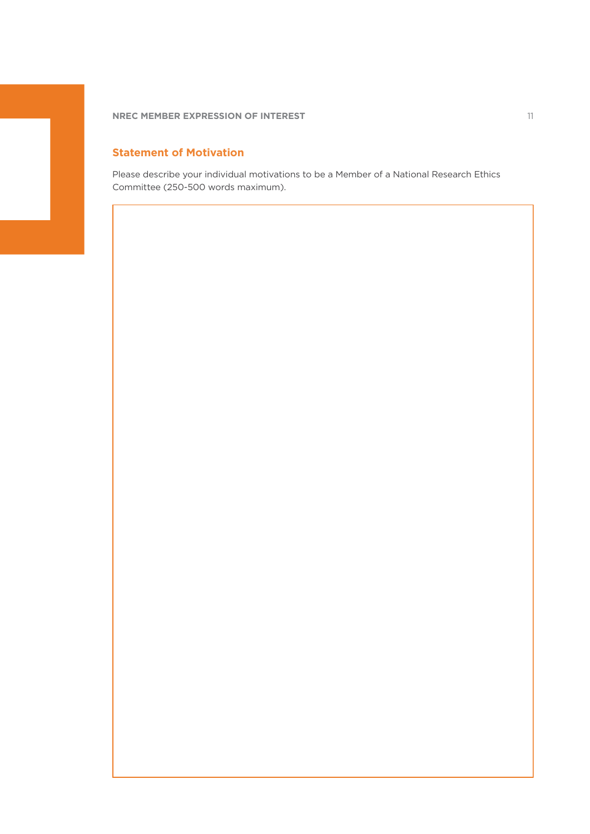**NREC MEMBER EXPRESSION OF INTEREST 11 AND 2009 THE RECORD FOR A STATE OF A STATE OF A STATE OF A STATE OF A ST** 

# **Statement of Motivation**

Please describe your individual motivations to be a Member of a National Research Ethics Committee (250-500 words maximum).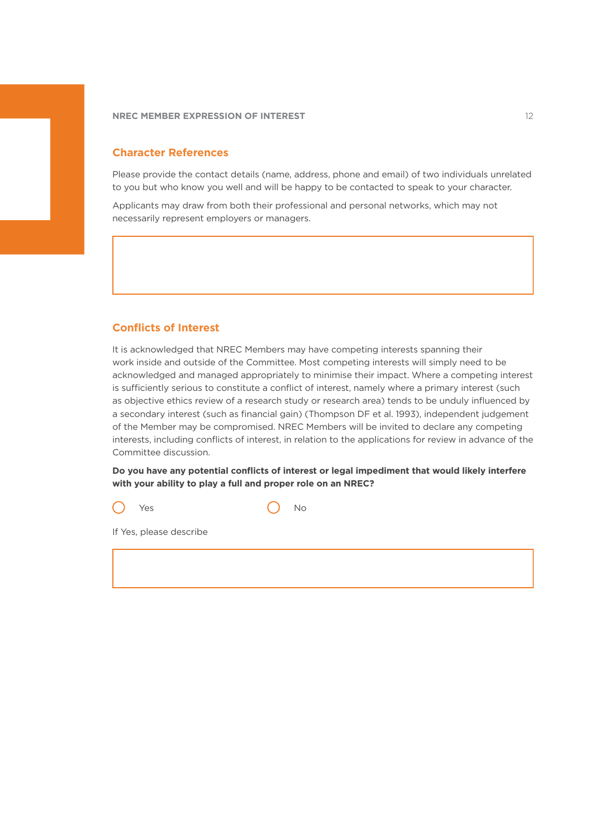## **Character References**

Please provide the contact details (name, address, phone and email) of two individuals unrelated to you but who know you well and will be happy to be contacted to speak to your character.

Applicants may draw from both their professional and personal networks, which may not necessarily represent employers or managers.

## **Conflicts of Interest**

It is acknowledged that NREC Members may have competing interests spanning their work inside and outside of the Committee. Most competing interests will simply need to be acknowledged and managed appropriately to minimise their impact. Where a competing interest is sufficiently serious to constitute a conflict of interest, namely where a primary interest (such as objective ethics review of a research study or research area) tends to be unduly influenced by a secondary interest (such as financial gain) (Thompson DF et al. 1993), independent judgement of the Member may be compromised. NREC Members will be invited to declare any competing interests, including conflicts of interest, in relation to the applications for review in advance of the Committee discussion.

**Do you have any potential conflicts of interest or legal impediment that would likely interfere with your ability to play a full and proper role on an NREC?**

Yes ( ) No

If Yes, please describe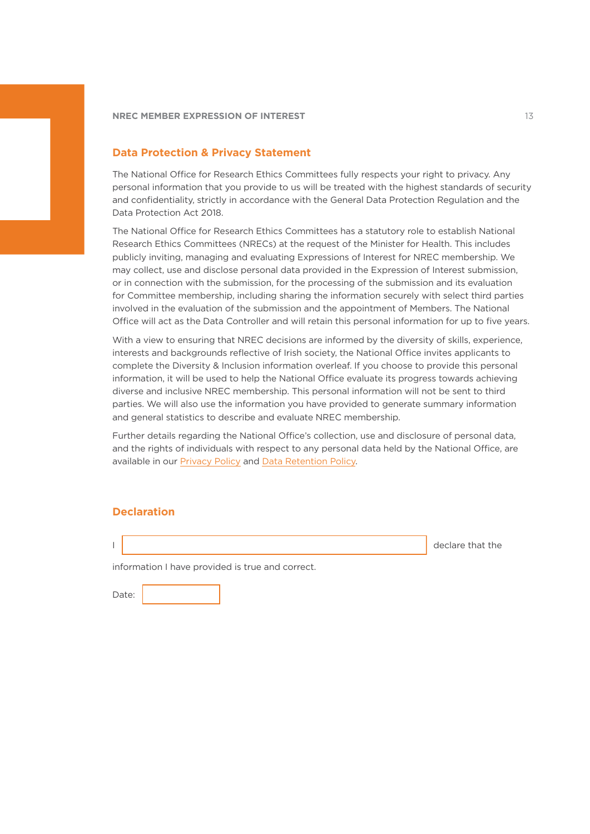### **Data Protection & Privacy Statement**

The National Office for Research Ethics Committees fully respects your right to privacy. Any personal information that you provide to us will be treated with the highest standards of security and confidentiality, strictly in accordance with the General Data Protection Regulation and the Data Protection Act 2018.

The National Office for Research Ethics Committees has a statutory role to establish National Research Ethics Committees (NRECs) at the request of the Minister for Health. This includes publicly inviting, managing and evaluating Expressions of Interest for NREC membership. We may collect, use and disclose personal data provided in the Expression of Interest submission, or in connection with the submission, for the processing of the submission and its evaluation for Committee membership, including sharing the information securely with select third parties involved in the evaluation of the submission and the appointment of Members. The National Office will act as the Data Controller and will retain this personal information for up to five years.

With a view to ensuring that NREC decisions are informed by the diversity of skills, experience, interests and backgrounds reflective of Irish society, the National Office invites applicants to complete the Diversity & Inclusion information overleaf. If you choose to provide this personal information, it will be used to help the National Office evaluate its progress towards achieving diverse and inclusive NREC membership. This personal information will not be sent to third parties. We will also use the information you have provided to generate summary information and general statistics to describe and evaluate NREC membership.

Further details regarding the National Office's collection, use and disclosure of personal data, and the rights of individuals with respect to any personal data held by the National Office, are available in our [Privacy Policy](https://www.nrecoffice.ie/privacy-notice/) and [Data Retention Policy.](https://www.nrecoffice.ie/data-retention-policy/)

### **Declaration**

I declare that the set of the set of the set of the set of the set of the set of the set of the set of the set of the set of the set of the set of the set of the set of the set of the set of the set of the set of the set o

information I have provided is true and correct.

Date: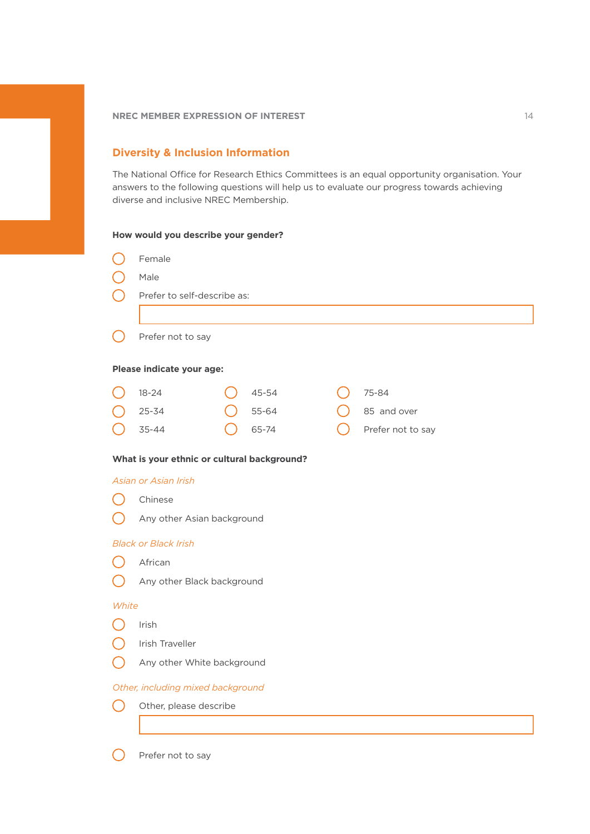### **NREC MEMBER EXPRESSION OF INTEREST WE SEE ALL SEE ALL SEE ALL SEE ALL SEE ALL SEE ALL SEE ALL SEE ALL SEE ALL SEE ALL SEE ALL SEE ALL SEE ALL SEE ALL SEE ALL SEE ALL SEE ALL SEE ALL SEE ALL SEE ALL SEE ALL SEE ALL SEE ALL**

# **Diversity & Inclusion Information**

The National Office for Research Ethics Committees is an equal opportunity organisation. Your answers to the following questions will help us to evaluate our progress towards achieving diverse and inclusive NREC Membership.

### **How would you describe your gender?**

|       | Female                                      |  |       |  |  |                   |  |  |
|-------|---------------------------------------------|--|-------|--|--|-------------------|--|--|
|       | Male                                        |  |       |  |  |                   |  |  |
|       | Prefer to self-describe as:                 |  |       |  |  |                   |  |  |
|       |                                             |  |       |  |  |                   |  |  |
|       | Prefer not to say                           |  |       |  |  |                   |  |  |
|       | Please indicate your age:                   |  |       |  |  |                   |  |  |
|       | $18 - 24$                                   |  | 45-54 |  |  | 75-84             |  |  |
|       | $25 - 34$                                   |  | 55-64 |  |  | 85 and over       |  |  |
|       | 35-44                                       |  | 65-74 |  |  | Prefer not to say |  |  |
|       | What is your ethnic or cultural background? |  |       |  |  |                   |  |  |
|       | Asian or Asian Irish                        |  |       |  |  |                   |  |  |
|       | Chinese                                     |  |       |  |  |                   |  |  |
|       | Any other Asian background                  |  |       |  |  |                   |  |  |
|       | <b>Black or Black Irish</b>                 |  |       |  |  |                   |  |  |
|       | African                                     |  |       |  |  |                   |  |  |
|       | Any other Black background                  |  |       |  |  |                   |  |  |
| White |                                             |  |       |  |  |                   |  |  |
|       | Irish                                       |  |       |  |  |                   |  |  |
|       | Irish Traveller                             |  |       |  |  |                   |  |  |
|       | Any other White background                  |  |       |  |  |                   |  |  |
|       | Other, including mixed background           |  |       |  |  |                   |  |  |
|       | Other, please describe                      |  |       |  |  |                   |  |  |
|       |                                             |  |       |  |  |                   |  |  |
|       | Prefer not to say                           |  |       |  |  |                   |  |  |